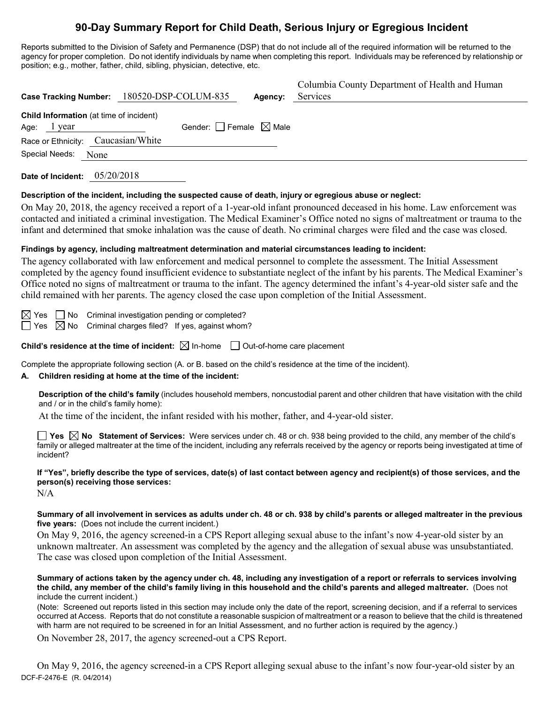# **90-Day Summary Report for Child Death, Serious Injury or Egregious Incident**

Reports submitted to the Division of Safety and Permanence (DSP) that do not include all of the required information will be returned to the agency for proper completion. Do not identify individuals by name when completing this report. Individuals may be referenced by relationship or position; e.g., mother, father, child, sibling, physician, detective, etc.

|                                                                                                            | Case Tracking Number: 180520-DSP-COLUM-835 | Agency: | Columbia County Department of Health and Human<br>Services |  |  |  |
|------------------------------------------------------------------------------------------------------------|--------------------------------------------|---------|------------------------------------------------------------|--|--|--|
| <b>Child Information</b> (at time of incident)<br>Age: $1$ year                                            | Gender: $\Box$ Female $\boxtimes$ Male     |         |                                                            |  |  |  |
| Race or Ethnicity:<br>Special Needs:<br>None                                                               | Caucasian/White                            |         |                                                            |  |  |  |
| Date of Incident: $05/20/2018$                                                                             |                                            |         |                                                            |  |  |  |
| Description of the incident, including the suspected cause of death, injury or egregious abuse or neglect: |                                            |         |                                                            |  |  |  |

On May 20, 2018, the agency received a report of a 1-year-old infant pronounced deceased in his home. Law enforcement was contacted and initiated a criminal investigation. The Medical Examiner's Office noted no signs of maltreatment or trauma to the infant and determined that smoke inhalation was the cause of death. No criminal charges were filed and the case was closed.

# **Findings by agency, including maltreatment determination and material circumstances leading to incident:**

The agency collaborated with law enforcement and medical personnel to complete the assessment. The Initial Assessment completed by the agency found insufficient evidence to substantiate neglect of the infant by his parents. The Medical Examiner's Office noted no signs of maltreatment or trauma to the infant. The agency determined the infant's 4-year-old sister safe and the child remained with her parents. The agency closed the case upon completion of the Initial Assessment.

 $\boxtimes$  Yes  $\Box$  No Criminal investigation pending or completed?  $\Box$  Yes  $\boxtimes$  No Criminal charges filed? If yes, against whom?

**Child's residence at the time of incident:**  $\boxtimes$  In-home  $\Box$  Out-of-home care placement

Complete the appropriate following section (A. or B. based on the child's residence at the time of the incident).

### **A. Children residing at home at the time of the incident:**

**Description of the child's family** (includes household members, noncustodial parent and other children that have visitation with the child and / or in the child's family home):

At the time of the incident, the infant resided with his mother, father, and 4-year-old sister.

**Yes No Statement of Services:** Were services under ch. 48 or ch. 938 being provided to the child, any member of the child's family or alleged maltreater at the time of the incident, including any referrals received by the agency or reports being investigated at time of incident?

## **If "Yes", briefly describe the type of services, date(s) of last contact between agency and recipient(s) of those services, and the person(s) receiving those services:**

N/A

**Summary of all involvement in services as adults under ch. 48 or ch. 938 by child's parents or alleged maltreater in the previous five years:** (Does not include the current incident.)

On May 9, 2016, the agency screened-in a CPS Report alleging sexual abuse to the infant's now 4-year-old sister by an unknown maltreater. An assessment was completed by the agency and the allegation of sexual abuse was unsubstantiated. The case was closed upon completion of the Initial Assessment.

**Summary of actions taken by the agency under ch. 48, including any investigation of a report or referrals to services involving the child, any member of the child's family living in this household and the child's parents and alleged maltreater.** (Does not include the current incident.)

(Note: Screened out reports listed in this section may include only the date of the report, screening decision, and if a referral to services occurred at Access. Reports that do not constitute a reasonable suspicion of maltreatment or a reason to believe that the child is threatened with harm are not required to be screened in for an Initial Assessment, and no further action is required by the agency.)

On November 28, 2017, the agency screened-out a CPS Report.

DCF-F-2476-E (R. 04/2014) On May 9, 2016, the agency screened-in a CPS Report alleging sexual abuse to the infant's now four-year-old sister by an